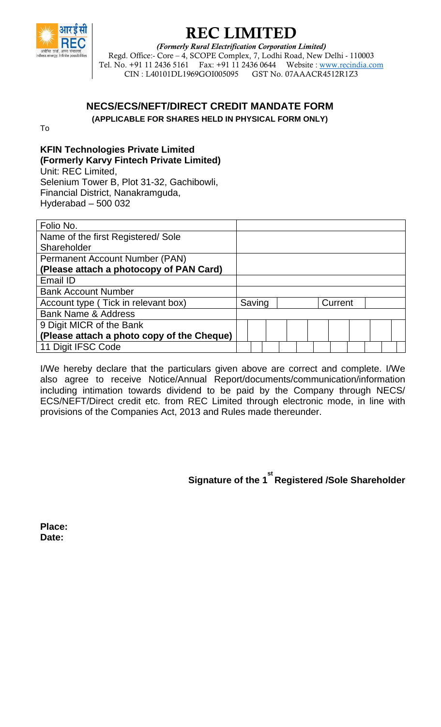

## REC LIMITED

*(Formerly Rural Electrification Corporation Limited)*  Regd. Office:- Core – 4, SCOPE Complex, 7, Lodhi Road, New Delhi - 110003 Tel. No. +91 11 2436 5161 Fax: +91 11 2436 0644 Website : www.recindia.com<br>CIN : L40101DL1969GOI005095 GST No. 07AAACR4512R1Z3 CIN : L40101DL1969GOI005095

### **NECS/ECS/NEFT/DIRECT CREDIT MANDATE FORM**

**(APPLICABLE FOR SHARES HELD IN PHYSICAL FORM ONLY)**

To

### **KFIN Technologies Private Limited (Formerly Karvy Fintech Private Limited)**

Unit: REC Limited, Selenium Tower B, Plot 31-32, Gachibowli, Financial District, Nanakramguda, Hyderabad – 500 032

| Folio No.                                  |        |  |  |  |  |  |         |  |  |  |
|--------------------------------------------|--------|--|--|--|--|--|---------|--|--|--|
| Name of the first Registered/Sole          |        |  |  |  |  |  |         |  |  |  |
| Shareholder                                |        |  |  |  |  |  |         |  |  |  |
| <b>Permanent Account Number (PAN)</b>      |        |  |  |  |  |  |         |  |  |  |
| (Please attach a photocopy of PAN Card)    |        |  |  |  |  |  |         |  |  |  |
| Email ID                                   |        |  |  |  |  |  |         |  |  |  |
| <b>Bank Account Number</b>                 |        |  |  |  |  |  |         |  |  |  |
| Account type (Tick in relevant box)        | Saving |  |  |  |  |  | Current |  |  |  |
| <b>Bank Name &amp; Address</b>             |        |  |  |  |  |  |         |  |  |  |
| 9 Digit MICR of the Bank                   |        |  |  |  |  |  |         |  |  |  |
| (Please attach a photo copy of the Cheque) |        |  |  |  |  |  |         |  |  |  |
| 11 Digit IFSC Code                         |        |  |  |  |  |  |         |  |  |  |
|                                            |        |  |  |  |  |  |         |  |  |  |

I/We hereby declare that the particulars given above are correct and complete. I/We also agree to receive Notice/Annual Report/documents/communication/information including intimation towards dividend to be paid by the Company through NECS/ ECS/NEFT/Direct credit etc. from REC Limited through electronic mode, in line with provisions of the Companies Act, 2013 and Rules made thereunder.

**Signature of the 1 st Registered /Sole Shareholder** 

**Place: Date:**